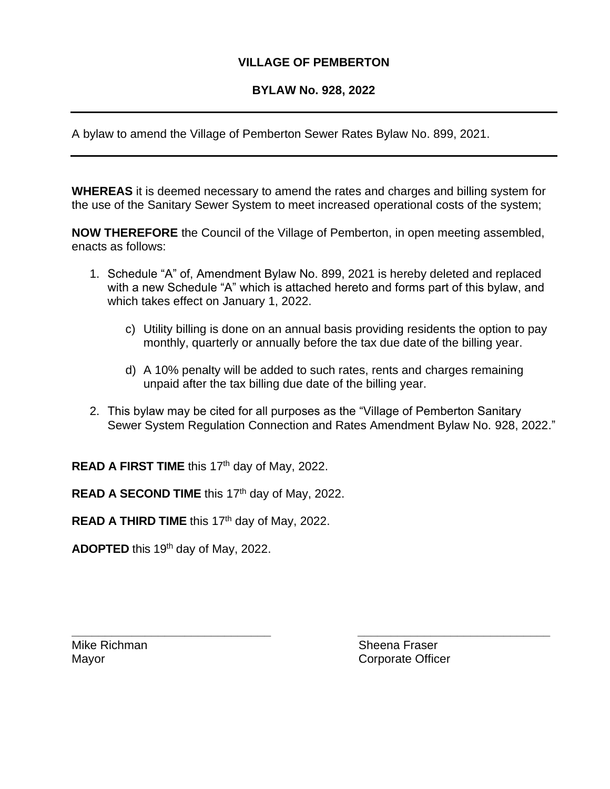## **VILLAGE OF PEMBERTON**

## **BYLAW No. 928, 2022**

A bylaw to amend the Village of Pemberton Sewer Rates Bylaw No. 899, 2021.

**WHEREAS** it is deemed necessary to amend the rates and charges and billing system for the use of the Sanitary Sewer System to meet increased operational costs of the system;

**NOW THEREFORE** the Council of the Village of Pemberton, in open meeting assembled, enacts as follows:

- 1. Schedule "A" of, Amendment Bylaw No. 899, 2021 is hereby deleted and replaced with a new Schedule "A" which is attached hereto and forms part of this bylaw, and which takes effect on January 1, 2022.
	- c) Utility billing is done on an annual basis providing residents the option to pay monthly, quarterly or annually before the tax due date of the billing year.
	- d) A 10% penalty will be added to such rates, rents and charges remaining unpaid after the tax billing due date of the billing year.
- 2. This bylaw may be cited for all purposes as the "Village of Pemberton Sanitary Sewer System Regulation Connection and Rates Amendment Bylaw No. 928, 2022."

**\_\_\_\_\_\_\_\_\_\_\_\_\_\_\_\_\_\_\_\_\_\_\_\_\_\_\_\_\_\_ \_\_\_\_\_\_\_\_\_\_\_\_\_\_\_\_\_\_\_\_\_\_\_\_\_\_\_\_\_**

READ A FIRST TIME this 17<sup>th</sup> day of May, 2022.

READ A SECOND TIME this 17<sup>th</sup> day of May, 2022.

**READ A THIRD TIME** this 17<sup>th</sup> day of May, 2022.

**ADOPTED** this 19th day of May, 2022.

Mike Richman Sheena Fraser Mayor **Corporate Officer**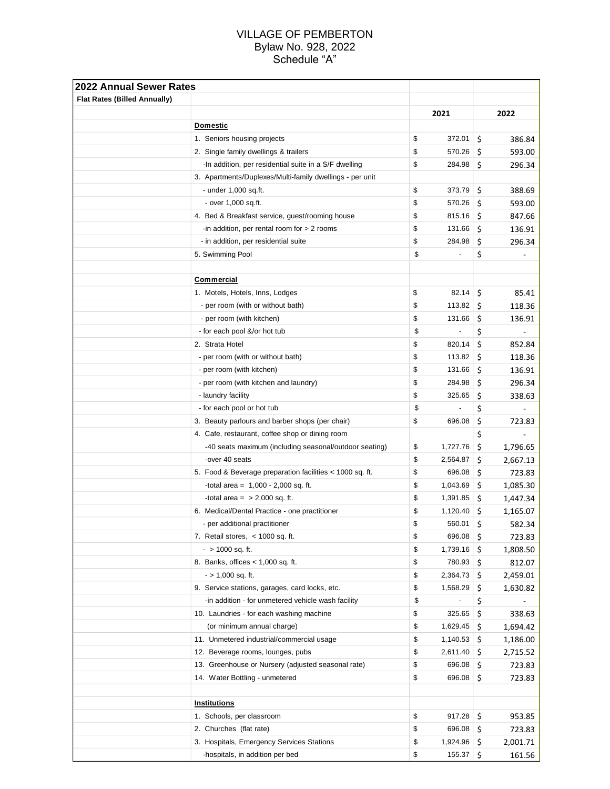## VILLAGE OF PEMBERTON Bylaw No. 928, 2022 Schedule "A"

| <b>2022 Annual Sewer Rates</b> |                                                                       |                            |          |                    |
|--------------------------------|-----------------------------------------------------------------------|----------------------------|----------|--------------------|
| Flat Rates (Billed Annually)   |                                                                       |                            |          |                    |
|                                |                                                                       | 2021                       |          | 2022               |
|                                | <b>Domestic</b>                                                       |                            |          |                    |
|                                | 1. Seniors housing projects                                           | \$<br>372.01               | \$       | 386.84             |
|                                | 2. Single family dwellings & trailers                                 | \$<br>570.26               | \$       | 593.00             |
|                                | -In addition, per residential suite in a S/F dwelling                 | \$<br>284.98               | \$       | 296.34             |
|                                | 3. Apartments/Duplexes/Multi-family dwellings - per unit              |                            |          |                    |
|                                | - under 1,000 sq.ft.                                                  | \$<br>373.79               | \$       | 388.69             |
|                                | - over 1,000 sq.ft.                                                   | \$<br>570.26               | \$       | 593.00             |
|                                | 4. Bed & Breakfast service, guest/rooming house                       | \$<br>815.16               | \$       | 847.66             |
|                                | -in addition, per rental room for $> 2$ rooms                         | \$<br>131.66               | \$       | 136.91             |
|                                | - in addition, per residential suite                                  | \$<br>284.98               | \$       | 296.34             |
|                                | 5. Swimming Pool                                                      | \$                         | \$       |                    |
|                                |                                                                       |                            |          |                    |
|                                | <b>Commercial</b>                                                     |                            |          |                    |
|                                | 1. Motels, Hotels, Inns, Lodges                                       | \$<br>82.14                | \$       | 85.41              |
|                                | - per room (with or without bath)                                     | \$<br>113.82               | \$       | 118.36             |
|                                | - per room (with kitchen)                                             | \$<br>131.66               | \$       | 136.91             |
|                                | - for each pool &/or hot tub                                          | \$                         | \$       | $\overline{a}$     |
|                                | 2. Strata Hotel                                                       | \$<br>820.14               | \$       | 852.84             |
|                                | - per room (with or without bath)                                     | \$<br>113.82               | \$       | 118.36             |
|                                | - per room (with kitchen)                                             | \$<br>131.66               | \$       | 136.91             |
|                                | - per room (with kitchen and laundry)                                 | \$<br>284.98               | \$       | 296.34             |
|                                | - laundry facility                                                    | \$<br>325.65               | \$       | 338.63             |
|                                | - for each pool or hot tub                                            | \$                         | \$       |                    |
|                                | 3. Beauty parlours and barber shops (per chair)                       | \$<br>696.08               | Ś        | 723.83             |
|                                | 4. Cafe, restaurant, coffee shop or dining room                       |                            | \$       |                    |
|                                | -40 seats maximum (including seasonal/outdoor seating)                | \$<br>1,727.76             | \$       | 1,796.65           |
|                                | -over 40 seats                                                        | \$<br>2,564.87             | \$       | 2,667.13           |
|                                | 5. Food & Beverage preparation facilities < 1000 sq. ft.              | \$<br>696.08               | \$       | 723.83             |
|                                | -total area = $1,000 - 2,000$ sq. ft.                                 | \$<br>1,043.69             | \$       | 1,085.30           |
|                                | -total area $=$ > 2,000 sq. ft.                                       | \$<br>1,391.85             | \$       | 1,447.34           |
|                                | 6. Medical/Dental Practice - one practitioner                         | \$<br>1,120.40             | Ś        | 1,165.07           |
|                                |                                                                       | \$<br>560.01               | \$       | 582.34             |
|                                | - per additional practitioner<br>7. Retail stores, $<$ 1000 sq. ft.   | \$<br>696.08               | \$       |                    |
|                                | $-$ > 1000 sq. ft.                                                    | \$<br>1,739.16             |          | 723.83             |
|                                | 8. Banks, offices < 1,000 sq. ft.                                     | \$<br>780.93               | \$<br>\$ | 1,808.50<br>812.07 |
|                                |                                                                       | \$                         |          |                    |
|                                | $-$ > 1,000 sq. ft.<br>9. Service stations, garages, card locks, etc. | \$<br>2,364.73<br>1,568.29 | \$       | 2,459.01           |
|                                |                                                                       | \$                         | \$       | 1,630.82           |
|                                | -in addition - for unmetered vehicle wash facility                    |                            | \$       |                    |
|                                | 10. Laundries - for each washing machine                              | \$<br>325.65               | \$       | 338.63             |
|                                | (or minimum annual charge)                                            | \$<br>1,629.45             | Ś.       | 1,694.42           |
|                                | 11. Unmetered industrial/commercial usage                             | \$<br>1,140.53             | \$       | 1,186.00           |
|                                | 12. Beverage rooms, lounges, pubs                                     | \$<br>2,611.40             | \$       | 2,715.52           |
|                                | 13. Greenhouse or Nursery (adjusted seasonal rate)                    | \$<br>696.08               | \$       | 723.83             |
|                                | 14. Water Bottling - unmetered                                        | \$<br>696.08               | \$       | 723.83             |
|                                |                                                                       |                            |          |                    |
|                                | <u>Institutions</u>                                                   |                            |          |                    |
|                                | 1. Schools, per classroom                                             | \$<br>917.28               | \$       | 953.85             |
|                                | 2. Churches (flat rate)                                               | \$<br>696.08               | \$       | 723.83             |
|                                | 3. Hospitals, Emergency Services Stations                             | \$<br>1,924.96             | \$       | 2,001.71           |
|                                | -hospitals, in addition per bed                                       | \$<br>155.37               | \$       | 161.56             |